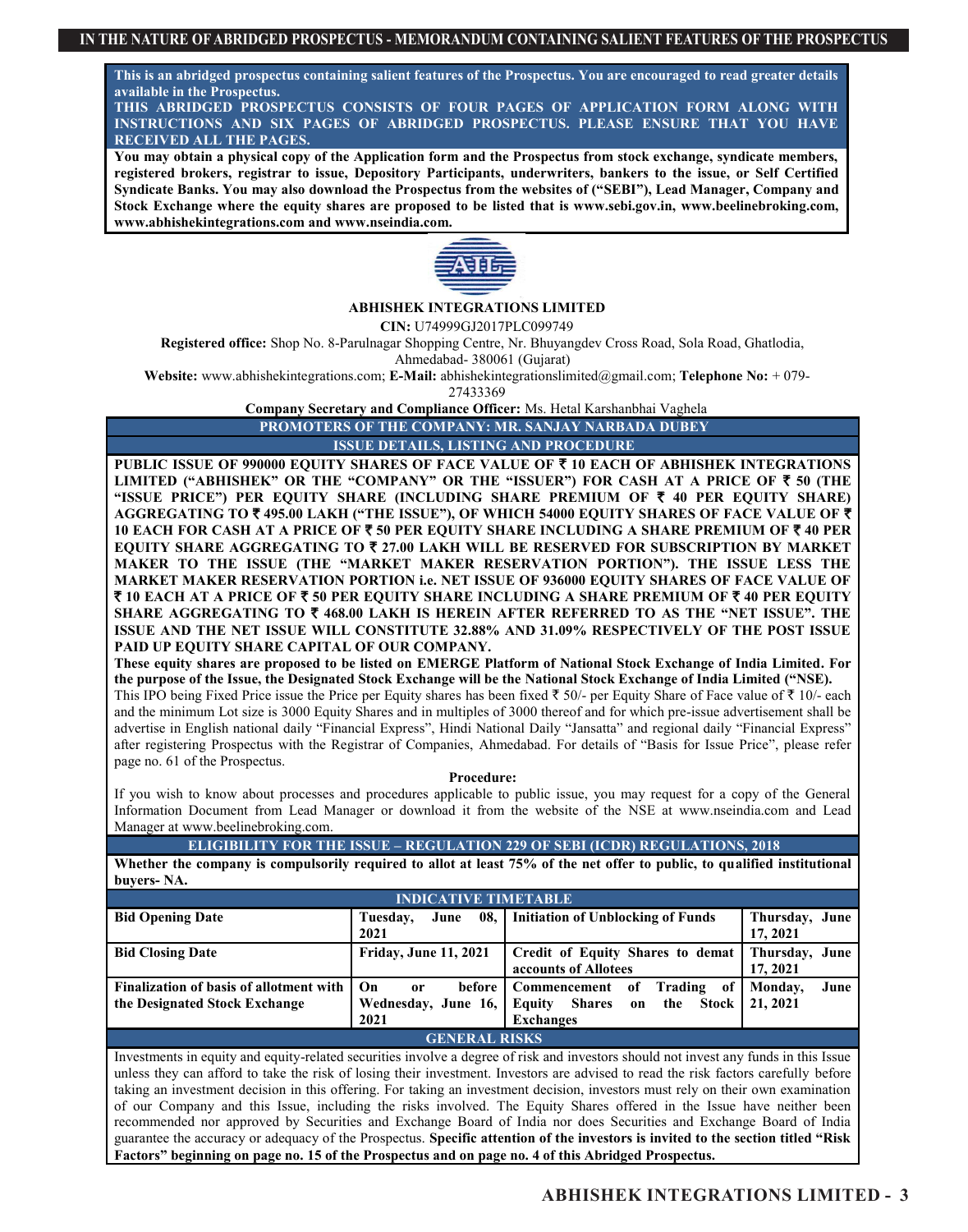**This is an abridged prospectus containing salient features of the Prospectus. You are encouraged to read greater details available in the Prospectus.**

**THIS ABRIDGED PROSPECTUS CONSISTS OF FOUR PAGES OF APPLICATION FORM ALONG WITH INSTRUCTIONS AND SIX PAGES OF ABRIDGED PROSPECTUS. PLEASE ENSURE THAT YOU HAVE RECEIVED ALL THE PAGES.**

**You may obtain a physical copy of the Application form and the Prospectus from stock exchange, syndicate members, registered brokers, registrar to issue, Depository Participants, underwriters, bankers to the issue, or Self Certified Syndicate Banks. You may also download the Prospectus from the websites of ("SEBI"), Lead Manager, Company and Stock Exchange where the equity shares are proposed to be listed that is www.sebi.gov.in, www.beelinebroking.com, www.abhishekintegrations.com and www.nseindia.com.**



**ABHISHEK INTEGRATIONS LIMITED**

**CIN:** U74999GJ2017PLC099749

**Registered office:** Shop No. 8-Parulnagar Shopping Centre, Nr. Bhuyangdev Cross Road, Sola Road, Ghatlodia,

Ahmedabad- 380061 (Gujarat)

**Website:** www.abhishekintegrations.com; **E-Mail:** abhishekintegrationslimited@gmail.com; **Telephone No:** + 079-

27433369

**Company Secretary and Compliance Officer:** Ms. Hetal Karshanbhai Vaghela

**PROMOTERS OF THE COMPANY: MR. SANJAY NARBADA DUBEY**

**ISSUE DETAILS, LISTING AND PROCEDURE**

PUBLIC ISSUE OF 990000 EQUITY SHARES OF FACE VALUE OF ₹ 10 EACH OF ABHISHEK INTEGRATIONS **LIMITED ("ABHISHEK" OR THE "COMPANY" OR THE "ISSUER") FOR CASH AT A PRICE OF** ` **50 (THE "ISSUE PRICE") PER EQUITY SHARE (INCLUDING SHARE PREMIUM OF** ` **40 PER EQUITY SHARE) AGGREGATING TO** ` **495.00 LAKH ("THE ISSUE"), OF WHICH 54000 EQUITY SHARES OF FACE VALUE OF** ` **10 EACH FOR CASH AT A PRICE OF** ` **50 PER EQUITY SHARE INCLUDING A SHARE PREMIUM OF** ` **40 PER EQUITY SHARE AGGREGATING TO ₹ 27.00 LAKH WILL BE RESERVED FOR SUBSCRIPTION BY MARKET MAKER TO THE ISSUE (THE "MARKET MAKER RESERVATION PORTION"). THE ISSUE LESS THE MARKET MAKER RESERVATION PORTION i.e. NET ISSUE OF 936000 EQUITY SHARES OF FACE VALUE OF**  ` **10 EACH AT A PRICE OF** ` **50 PER EQUITY SHARE INCLUDING A SHARE PREMIUM OF** ` **40 PER EQUITY SHARE AGGREGATING TO** ` **468.00 LAKH IS HEREIN AFTER REFERRED TO AS THE "NET ISSUE". THE ISSUE AND THE NET ISSUE WILL CONSTITUTE 32.88% AND 31.09% RESPECTIVELY OF THE POST ISSUE PAID UP EQUITY SHARE CAPITAL OF OUR COMPANY.**

**These equity shares are proposed to be listed on EMERGE Platform of National Stock Exchange of India Limited. For the purpose of the Issue, the Designated Stock Exchange will be the National Stock Exchange of India Limited ("NSE).**

This IPO being Fixed Price issue the Price per Equity shares has been fixed  $\bar{\tau}$  50/- per Equity Share of Face value of  $\bar{\tau}$  10/- each and the minimum Lot size is 3000 Equity Shares and in multiples of 3000 thereof and for which pre-issue advertisement shall be advertise in English national daily "Financial Express", Hindi National Daily "Jansatta" and regional daily "Financial Express" after registering Prospectus with the Registrar of Companies, Ahmedabad. For details of "Basis for Issue Price", please refer page no. 61 of the Prospectus.

#### **Procedure:**

If you wish to know about processes and procedures applicable to public issue, you may request for a copy of the General Information Document from Lead Manager or download it from the website of the NSE at www.nseindia.com and Lead Manager at www.beelinebroking.com.

**ELIGIBILITY FOR THE ISSUE – REGULATION 229 OF SEBI (ICDR) REGULATIONS, 2018**

**Whether the company is compulsorily required to allot at least 75% of the net offer to public, to qualified institutional buyers- NA.** 

| <b>INDICATIVE TIMETABLE</b>                    |                                   |                                       |                    |  |  |  |
|------------------------------------------------|-----------------------------------|---------------------------------------|--------------------|--|--|--|
| <b>Bid Opening Date</b>                        | June<br>Tuesday,                  | 08, Initiation of Unblocking of Funds | Thursday, June     |  |  |  |
|                                                | 2021                              |                                       | 17, 2021           |  |  |  |
| <b>Bid Closing Date</b>                        | <b>Friday, June 11, 2021</b>      | Credit of Equity Shares to demat      | Thursday, June     |  |  |  |
|                                                |                                   | accounts of Allotees                  | 17, 2021           |  |  |  |
| <b>Finalization of basis of allotment with</b> | On<br>or                          | before Commencement<br>0f<br>Trading  | of Monday,<br>June |  |  |  |
| the Designated Stock Exchange                  | Wednesday, June 16, Equity Shares | the Stock $\vert$ 21, 2021<br>on      |                    |  |  |  |
|                                                | 2021                              | <b>Exchanges</b>                      |                    |  |  |  |
| <b>GENERAL RISKS</b>                           |                                   |                                       |                    |  |  |  |

Investments in equity and equity-related securities involve a degree of risk and investors should not invest any funds in this Issue unless they can afford to take the risk of losing their investment. Investors are advised to read the risk factors carefully before taking an investment decision in this offering. For taking an investment decision, investors must rely on their own examination of our Company and this Issue, including the risks involved. The Equity Shares offered in the Issue have neither been recommended nor approved by Securities and Exchange Board of India nor does Securities and Exchange Board of India guarantee the accuracy or adequacy of the Prospectus. **Specific attention of the investors is invited to the section titled "Risk Factors" beginning on page no. 15 of the Prospectus and on page no. 4 of this Abridged Prospectus.**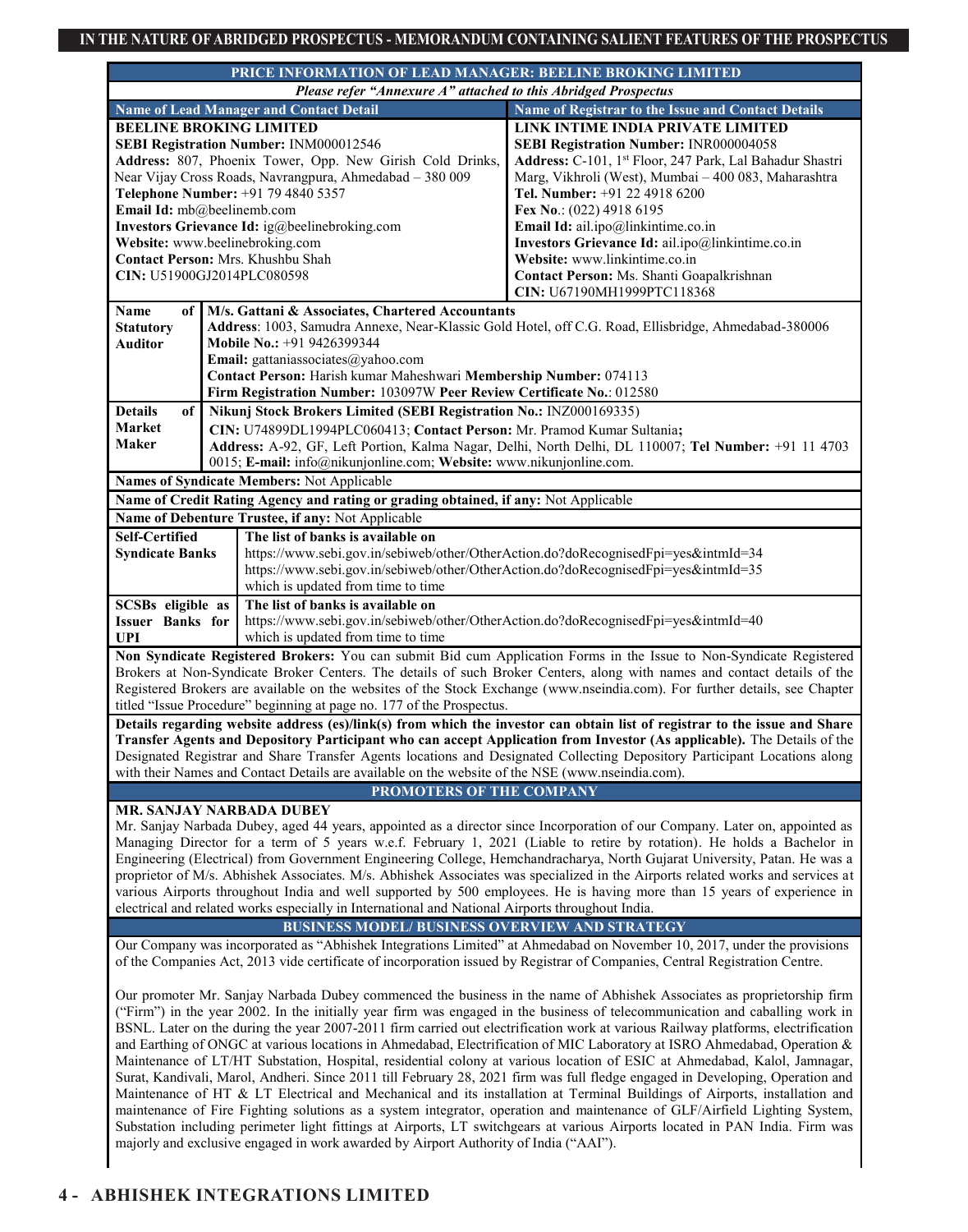|                                                                                                                             | PRICE INFORMATION OF LEAD MANAGER: BEELINE BROKING LIMITED                                                                                   |                                                                                                                                                                                                                                                            |  |  |  |  |
|-----------------------------------------------------------------------------------------------------------------------------|----------------------------------------------------------------------------------------------------------------------------------------------|------------------------------------------------------------------------------------------------------------------------------------------------------------------------------------------------------------------------------------------------------------|--|--|--|--|
|                                                                                                                             | Please refer "Annexure A" attached to this Abridged Prospectus                                                                               |                                                                                                                                                                                                                                                            |  |  |  |  |
|                                                                                                                             | <b>Name of Lead Manager and Contact Detail</b>                                                                                               | Name of Registrar to the Issue and Contact Details                                                                                                                                                                                                         |  |  |  |  |
|                                                                                                                             | <b>BEELINE BROKING LIMITED</b><br><b>SEBI Registration Number: INM000012546</b><br>Address: 807, Phoenix Tower, Opp. New Girish Cold Drinks, | LINK INTIME INDIA PRIVATE LIMITED<br><b>SEBI Registration Number: INR000004058</b><br>Address: C-101, 1st Floor, 247 Park, Lal Bahadur Shastri                                                                                                             |  |  |  |  |
|                                                                                                                             | Near Vijay Cross Roads, Navrangpura, Ahmedabad - 380 009                                                                                     | Marg, Vikhroli (West), Mumbai – 400 083, Maharashtra                                                                                                                                                                                                       |  |  |  |  |
|                                                                                                                             | Telephone Number: +91 79 4840 5357                                                                                                           | Tel. Number: +91 22 4918 6200                                                                                                                                                                                                                              |  |  |  |  |
|                                                                                                                             | Email Id: mb@beelinemb.com                                                                                                                   | Fex No.: (022) 4918 6195                                                                                                                                                                                                                                   |  |  |  |  |
|                                                                                                                             | Investors Grievance Id: ig@beelinebroking.com<br>Website: www.beelinebroking.com                                                             | Email Id: ail.ipo@linkintime.co.in<br>Investors Grievance Id: ail.ipo@linkintime.co.in                                                                                                                                                                     |  |  |  |  |
|                                                                                                                             | Contact Person: Mrs. Khushbu Shah                                                                                                            | Website: www.linkintime.co.in                                                                                                                                                                                                                              |  |  |  |  |
|                                                                                                                             | CIN: U51900GJ2014PLC080598                                                                                                                   | Contact Person: Ms. Shanti Goapalkrishnan<br>CIN: U67190MH1999PTC118368                                                                                                                                                                                    |  |  |  |  |
| Name<br>of                                                                                                                  | M/s. Gattani & Associates, Chartered Accountants                                                                                             |                                                                                                                                                                                                                                                            |  |  |  |  |
| <b>Statutory</b>                                                                                                            |                                                                                                                                              | Address: 1003, Samudra Annexe, Near-Klassic Gold Hotel, off C.G. Road, Ellisbridge, Ahmedabad-380006                                                                                                                                                       |  |  |  |  |
| <b>Auditor</b>                                                                                                              | Mobile No.: +91 9426399344                                                                                                                   |                                                                                                                                                                                                                                                            |  |  |  |  |
|                                                                                                                             | Email: gattaniassociates@yahoo.com                                                                                                           |                                                                                                                                                                                                                                                            |  |  |  |  |
|                                                                                                                             | Contact Person: Harish kumar Maheshwari Membership Number: 074113                                                                            |                                                                                                                                                                                                                                                            |  |  |  |  |
|                                                                                                                             | Firm Registration Number: 103097W Peer Review Certificate No.: 012580                                                                        |                                                                                                                                                                                                                                                            |  |  |  |  |
| <b>Details</b><br>of  <br><b>Market</b>                                                                                     | Nikunj Stock Brokers Limited (SEBI Registration No.: INZ000169335)<br>CIN: U74899DL1994PLC060413; Contact Person: Mr. Pramod Kumar Sultania; |                                                                                                                                                                                                                                                            |  |  |  |  |
| <b>Maker</b>                                                                                                                |                                                                                                                                              | Address: A-92, GF, Left Portion, Kalma Nagar, Delhi, North Delhi, DL 110007; Tel Number: +91 11 4703                                                                                                                                                       |  |  |  |  |
|                                                                                                                             | 0015; E-mail: info@nikunjonline.com; Website: www.nikunjonline.com.                                                                          |                                                                                                                                                                                                                                                            |  |  |  |  |
|                                                                                                                             | Names of Syndicate Members: Not Applicable                                                                                                   |                                                                                                                                                                                                                                                            |  |  |  |  |
|                                                                                                                             | Name of Credit Rating Agency and rating or grading obtained, if any: Not Applicable                                                          |                                                                                                                                                                                                                                                            |  |  |  |  |
|                                                                                                                             | Name of Debenture Trustee, if any: Not Applicable                                                                                            |                                                                                                                                                                                                                                                            |  |  |  |  |
| <b>Self-Certified</b>                                                                                                       | The list of banks is available on                                                                                                            |                                                                                                                                                                                                                                                            |  |  |  |  |
| <b>Syndicate Banks</b>                                                                                                      | https://www.sebi.gov.in/sebiweb/other/OtherAction.do?doRecognisedFpi=yes&intmId=34                                                           |                                                                                                                                                                                                                                                            |  |  |  |  |
|                                                                                                                             | https://www.sebi.gov.in/sebiweb/other/OtherAction.do?doRecognisedFpi=yes&intmId=35<br>which is updated from time to time                     |                                                                                                                                                                                                                                                            |  |  |  |  |
| SCSBs eligible as                                                                                                           | The list of banks is available on                                                                                                            |                                                                                                                                                                                                                                                            |  |  |  |  |
| <b>Issuer Banks for</b>                                                                                                     | https://www.sebi.gov.in/sebiweb/other/OtherAction.do?doRecognisedFpi=yes&intmId=40                                                           |                                                                                                                                                                                                                                                            |  |  |  |  |
| <b>UPI</b>                                                                                                                  | which is updated from time to time                                                                                                           |                                                                                                                                                                                                                                                            |  |  |  |  |
|                                                                                                                             |                                                                                                                                              | Non Syndicate Registered Brokers: You can submit Bid cum Application Forms in the Issue to Non-Syndicate Registered                                                                                                                                        |  |  |  |  |
|                                                                                                                             |                                                                                                                                              | Brokers at Non-Syndicate Broker Centers. The details of such Broker Centers, along with names and contact details of the<br>Registered Brokers are available on the websites of the Stock Exchange (www.nseindia.com). For further details, see Chapter    |  |  |  |  |
|                                                                                                                             | titled "Issue Procedure" beginning at page no. 177 of the Prospectus.                                                                        |                                                                                                                                                                                                                                                            |  |  |  |  |
|                                                                                                                             |                                                                                                                                              | Details regarding website address (es)/link(s) from which the investor can obtain list of registrar to the issue and Share                                                                                                                                 |  |  |  |  |
|                                                                                                                             | with their Names and Contact Details are available on the website of the NSE (www.nseindia.com).                                             | Transfer Agents and Depository Participant who can accept Application from Investor (As applicable). The Details of the<br>Designated Registrar and Share Transfer Agents locations and Designated Collecting Depository Participant Locations along       |  |  |  |  |
|                                                                                                                             | PROMOTERS OF THE COMPANY                                                                                                                     |                                                                                                                                                                                                                                                            |  |  |  |  |
|                                                                                                                             | MR. SANJAY NARBADA DUBEY                                                                                                                     |                                                                                                                                                                                                                                                            |  |  |  |  |
|                                                                                                                             |                                                                                                                                              | Mr. Sanjay Narbada Dubey, aged 44 years, appointed as a director since Incorporation of our Company. Later on, appointed as                                                                                                                                |  |  |  |  |
|                                                                                                                             |                                                                                                                                              | Managing Director for a term of 5 years w.e.f. February 1, 2021 (Liable to retire by rotation). He holds a Bachelor in<br>Engineering (Electrical) from Government Engineering College, Hemchandracharya, North Gujarat University, Patan. He was a        |  |  |  |  |
|                                                                                                                             |                                                                                                                                              | proprietor of M/s. Abhishek Associates. M/s. Abhishek Associates was specialized in the Airports related works and services at                                                                                                                             |  |  |  |  |
|                                                                                                                             |                                                                                                                                              | various Airports throughout India and well supported by 500 employees. He is having more than 15 years of experience in                                                                                                                                    |  |  |  |  |
| electrical and related works especially in International and National Airports throughout India.                            |                                                                                                                                              |                                                                                                                                                                                                                                                            |  |  |  |  |
| BUSINESS MODEL/ BUSINESS OVERVIEW AND STRATEGY                                                                              |                                                                                                                                              |                                                                                                                                                                                                                                                            |  |  |  |  |
|                                                                                                                             |                                                                                                                                              | Our Company was incorporated as "Abhishek Integrations Limited" at Ahmedabad on November 10, 2017, under the provisions                                                                                                                                    |  |  |  |  |
| of the Companies Act, 2013 vide certificate of incorporation issued by Registrar of Companies, Central Registration Centre. |                                                                                                                                              |                                                                                                                                                                                                                                                            |  |  |  |  |
|                                                                                                                             |                                                                                                                                              | Our promoter Mr. Sanjay Narbada Dubey commenced the business in the name of Abhishek Associates as proprietorship firm                                                                                                                                     |  |  |  |  |
|                                                                                                                             |                                                                                                                                              | ("Firm") in the year 2002. In the initially year firm was engaged in the business of telecommunication and caballing work in                                                                                                                               |  |  |  |  |
|                                                                                                                             |                                                                                                                                              | BSNL. Later on the during the year 2007-2011 firm carried out electrification work at various Railway platforms, electrification                                                                                                                           |  |  |  |  |
|                                                                                                                             |                                                                                                                                              | and Earthing of ONGC at various locations in Ahmedabad, Electrification of MIC Laboratory at ISRO Ahmedabad, Operation &                                                                                                                                   |  |  |  |  |
|                                                                                                                             |                                                                                                                                              | Maintenance of LT/HT Substation, Hospital, residential colony at various location of ESIC at Ahmedabad, Kalol, Jamnagar,                                                                                                                                   |  |  |  |  |
|                                                                                                                             |                                                                                                                                              | Surat, Kandivali, Marol, Andheri. Since 2011 till February 28, 2021 firm was full fledge engaged in Developing, Operation and<br>Maintenance of HT & IT Flectrical and Mechanical and its installation at Terminal Buildings of Airports, installation and |  |  |  |  |

Maintenance of HT & LT Electrical and Mechanical and its installation at Terminal Buildings of Airports, installation and maintenance of Fire Fighting solutions as a system integrator, operation and maintenance of GLF/Airfield Lighting System, Substation including perimeter light fittings at Airports, LT switchgears at various Airports located in PAN India. Firm was majorly and exclusive engaged in work awarded by Airport Authority of India ("AAI").

### **4 - ABHISHEK INTEGRATIONS LIMITED**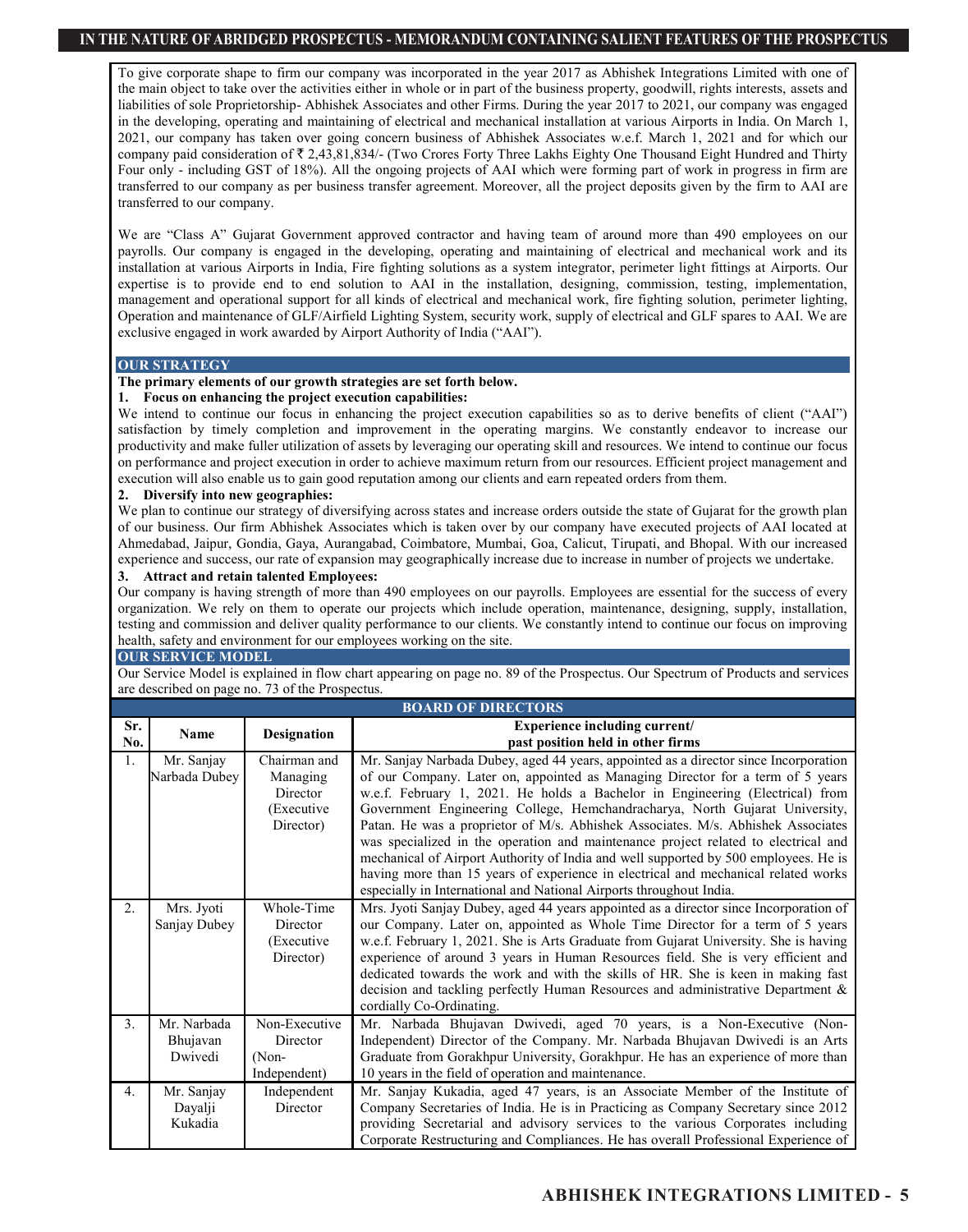To give corporate shape to firm our company was incorporated in the year 2017 as Abhishek Integrations Limited with one of the main object to take over the activities either in whole or in part of the business property, goodwill, rights interests, assets and liabilities of sole Proprietorship- Abhishek Associates and other Firms. During the year 2017 to 2021, our company was engaged in the developing, operating and maintaining of electrical and mechanical installation at various Airports in India. On March 1, 2021, our company has taken over going concern business of Abhishek Associates w.e.f. March 1, 2021 and for which our company paid consideration of  $\bar{\tau}$  2,43,81,834/- (Two Crores Forty Three Lakhs Eighty One Thousand Eight Hundred and Thirty Four only - including GST of 18%). All the ongoing projects of AAI which were forming part of work in progress in firm are transferred to our company as per business transfer agreement. Moreover, all the project deposits given by the firm to AAI are transferred to our company.

We are "Class A" Gujarat Government approved contractor and having team of around more than 490 employees on our payrolls. Our company is engaged in the developing, operating and maintaining of electrical and mechanical work and its installation at various Airports in India, Fire fighting solutions as a system integrator, perimeter light fittings at Airports. Our expertise is to provide end to end solution to AAI in the installation, designing, commission, testing, implementation, management and operational support for all kinds of electrical and mechanical work, fire fighting solution, perimeter lighting, Operation and maintenance of GLF/Airfield Lighting System, security work, supply of electrical and GLF spares to AAI. We are exclusive engaged in work awarded by Airport Authority of India ("AAI").

#### **OUR STRATEGY**

#### **The primary elements of our growth strategies are set forth below.**

#### **1. Focus on enhancing the project execution capabilities:**

We intend to continue our focus in enhancing the project execution capabilities so as to derive benefits of client ("AAI") satisfaction by timely completion and improvement in the operating margins. We constantly endeavor to increase our productivity and make fuller utilization of assets by leveraging our operating skill and resources. We intend to continue our focus on performance and project execution in order to achieve maximum return from our resources. Efficient project management and execution will also enable us to gain good reputation among our clients and earn repeated orders from them.

#### **2. Diversify into new geographies:**

We plan to continue our strategy of diversifying across states and increase orders outside the state of Gujarat for the growth plan of our business. Our firm Abhishek Associates which is taken over by our company have executed projects of AAI located at Ahmedabad, Jaipur, Gondia, Gaya, Aurangabad, Coimbatore, Mumbai, Goa, Calicut, Tirupati, and Bhopal. With our increased experience and success, our rate of expansion may geographically increase due to increase in number of projects we undertake.

#### **3. Attract and retain talented Employees:**

Our company is having strength of more than 490 employees on our payrolls. Employees are essential for the success of every organization. We rely on them to operate our projects which include operation, maintenance, designing, supply, installation, testing and commission and deliver quality performance to our clients. We constantly intend to continue our focus on improving health, safety and environment for our employees working on the site.

#### **OUR SERVICE MODEL**

Our Service Model is explained in flow chart appearing on page no. 89 of the Prospectus. Our Spectrum of Products and services are described on page no. 73 of the Prospectus.

|            | <b>BOARD OF DIRECTORS</b> |                          |                                                                                                                                                                       |  |  |  |  |  |
|------------|---------------------------|--------------------------|-----------------------------------------------------------------------------------------------------------------------------------------------------------------------|--|--|--|--|--|
| Sr.<br>No. | Name                      | <b>Designation</b>       | <b>Experience including current/</b><br>past position held in other firms                                                                                             |  |  |  |  |  |
| 1.         | Mr. Sanjay                | Chairman and             | Mr. Sanjay Narbada Dubey, aged 44 years, appointed as a director since Incorporation                                                                                  |  |  |  |  |  |
|            | Narbada Dubey             | Managing                 | of our Company. Later on, appointed as Managing Director for a term of 5 years                                                                                        |  |  |  |  |  |
|            |                           | Director                 | w.e.f. February 1, 2021. He holds a Bachelor in Engineering (Electrical) from                                                                                         |  |  |  |  |  |
|            |                           | (Executive)<br>Director) | Government Engineering College, Hemchandracharya, North Gujarat University,<br>Patan. He was a proprietor of M/s. Abhishek Associates. M/s. Abhishek Associates       |  |  |  |  |  |
|            |                           |                          | was specialized in the operation and maintenance project related to electrical and                                                                                    |  |  |  |  |  |
|            |                           |                          | mechanical of Airport Authority of India and well supported by 500 employees. He is                                                                                   |  |  |  |  |  |
|            |                           |                          | having more than 15 years of experience in electrical and mechanical related works                                                                                    |  |  |  |  |  |
|            |                           |                          | especially in International and National Airports throughout India.                                                                                                   |  |  |  |  |  |
| 2.         | Mrs. Jyoti                | Whole-Time               | Mrs. Jyoti Sanjay Dubey, aged 44 years appointed as a director since Incorporation of                                                                                 |  |  |  |  |  |
|            | Sanjay Dubey              | Director                 | our Company. Later on, appointed as Whole Time Director for a term of 5 years                                                                                         |  |  |  |  |  |
|            |                           | (Executive)              | w.e.f. February 1, 2021. She is Arts Graduate from Gujarat University. She is having                                                                                  |  |  |  |  |  |
|            |                           | Director)                | experience of around 3 years in Human Resources field. She is very efficient and<br>dedicated towards the work and with the skills of HR. She is keen in making fast  |  |  |  |  |  |
|            |                           |                          | decision and tackling perfectly Human Resources and administrative Department &                                                                                       |  |  |  |  |  |
|            |                           |                          | cordially Co-Ordinating.                                                                                                                                              |  |  |  |  |  |
| 3.         | Mr. Narbada               | Non-Executive            | Mr. Narbada Bhujavan Dwivedi, aged 70 years, is a Non-Executive (Non-                                                                                                 |  |  |  |  |  |
|            | Bhujavan                  | Director                 | Independent) Director of the Company. Mr. Narbada Bhujavan Dwivedi is an Arts                                                                                         |  |  |  |  |  |
|            | Dwivedi                   | (Non-                    | Graduate from Gorakhpur University, Gorakhpur. He has an experience of more than                                                                                      |  |  |  |  |  |
|            |                           | Independent)             | 10 years in the field of operation and maintenance.                                                                                                                   |  |  |  |  |  |
| 4.         | Mr. Sanjay                | Independent              | Mr. Sanjay Kukadia, aged 47 years, is an Associate Member of the Institute of                                                                                         |  |  |  |  |  |
|            | Dayalji                   | Director                 | Company Secretaries of India. He is in Practicing as Company Secretary since 2012                                                                                     |  |  |  |  |  |
|            | Kukadia                   |                          | providing Secretarial and advisory services to the various Corporates including<br>Corporate Restructuring and Compliances. He has overall Professional Experience of |  |  |  |  |  |
|            |                           |                          |                                                                                                                                                                       |  |  |  |  |  |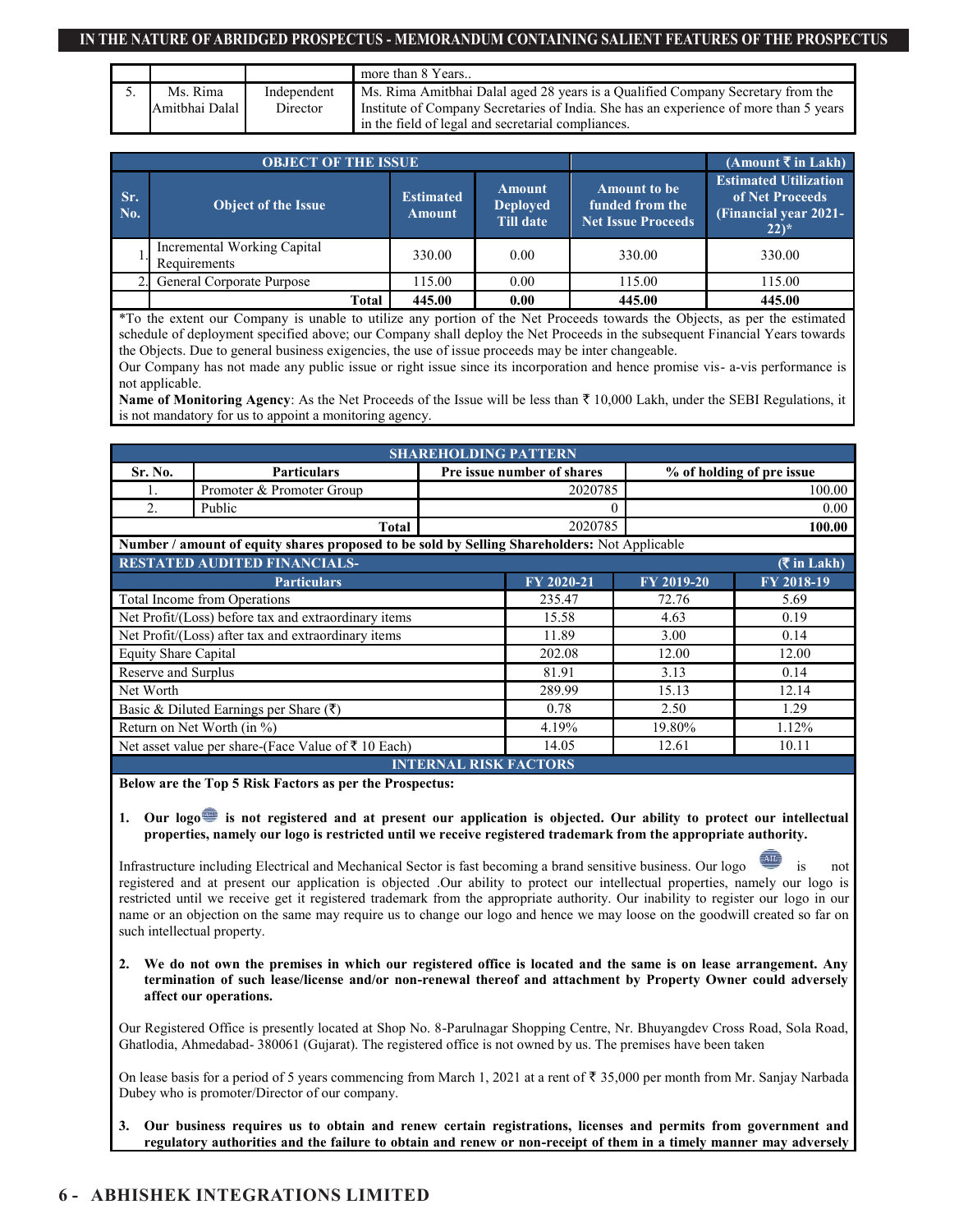|                            |                         | more than 8 Years                                                                                                                                                                                                              |
|----------------------------|-------------------------|--------------------------------------------------------------------------------------------------------------------------------------------------------------------------------------------------------------------------------|
| Ms. Rima<br>Amithhai Dalal | Independent<br>Director | Ms. Rima Amitbhai Dalal aged 28 years is a Qualified Company Secretary from the<br>Institute of Company Secretaries of India. She has an experience of more than 5 years<br>in the field of legal and secretarial compliances. |

|            | <b>OBJECT OF THE ISSUE</b>                  |                                   | (Amount ₹ in Lakh)                     |                                                                     |                                                                                     |
|------------|---------------------------------------------|-----------------------------------|----------------------------------------|---------------------------------------------------------------------|-------------------------------------------------------------------------------------|
| Sr.<br>No. | <b>Object of the Issue</b>                  | <b>Estimated</b><br><b>Amount</b> | Amount<br><b>Deployed</b><br>Till date | <b>Amount to be</b><br>funded from the<br><b>Net Issue Proceeds</b> | <b>Estimated Utilization</b><br>of Net Proceeds<br>(Financial year 2021-<br>$22)$ * |
|            | Incremental Working Capital<br>Requirements | 330.00                            | 0.00                                   | 330.00                                                              | 330.00                                                                              |
|            | General Corporate Purpose                   | 115.00                            | 0.00                                   | 115.00                                                              | 115.00                                                                              |
|            | <b>Total</b>                                | 445.00                            | 0.00                                   | 445.00                                                              | 445.00                                                                              |

\*To the extent our Company is unable to utilize any portion of the Net Proceeds towards the Objects, as per the estimated schedule of deployment specified above; our Company shall deploy the Net Proceeds in the subsequent Financial Years towards the Objects. Due to general business exigencies, the use of issue proceeds may be inter changeable.

Our Company has not made any public issue or right issue since its incorporation and hence promise vis- a-vis performance is not applicable.

**Name of Monitoring Agency**: As the Net Proceeds of the Issue will be less than  $\bar{\tau}$  10,000 Lakh, under the SEBI Regulations, it is not mandatory for us to appoint a monitoring agency.

| <b>SHAREHOLDING PATTERN</b>                                                                  |                                                      |  |                           |            |                                             |  |  |  |  |
|----------------------------------------------------------------------------------------------|------------------------------------------------------|--|---------------------------|------------|---------------------------------------------|--|--|--|--|
| Sr. No.                                                                                      | <b>Particulars</b>                                   |  | % of holding of pre issue |            |                                             |  |  |  |  |
|                                                                                              | Promoter & Promoter Group                            |  | 2020785                   |            | 100.00                                      |  |  |  |  |
| 2.                                                                                           | Public                                               |  | $\left($                  |            | 0.00                                        |  |  |  |  |
|                                                                                              | Total                                                |  | 2020785                   |            | 100.00                                      |  |  |  |  |
| Number / amount of equity shares proposed to be sold by Selling Shareholders: Not Applicable |                                                      |  |                           |            |                                             |  |  |  |  |
|                                                                                              | <b>RESTATED AUDITED FINANCIALS-</b>                  |  |                           |            | $(\overline{\mathbf{\mathcal{F}}}$ in Lakh) |  |  |  |  |
|                                                                                              | <b>Particulars</b>                                   |  | FY 2020-21                | FY 2019-20 | FY 2018-19                                  |  |  |  |  |
|                                                                                              | Total Income from Operations                         |  | 235.47                    | 72.76      | 5.69                                        |  |  |  |  |
|                                                                                              | Net Profit/(Loss) before tax and extraordinary items |  | 15.58                     | 4.63       | 0.19                                        |  |  |  |  |
|                                                                                              | Net Profit/(Loss) after tax and extraordinary items  |  | 11.89                     | 3.00       | 0.14                                        |  |  |  |  |
| <b>Equity Share Capital</b>                                                                  |                                                      |  | 202.08                    | 12.00      | 12.00                                       |  |  |  |  |
| Reserve and Surplus                                                                          |                                                      |  | 81.91                     | 3.13       | 0.14                                        |  |  |  |  |
| Net Worth                                                                                    |                                                      |  | 289.99                    | 15.13      | 12.14                                       |  |  |  |  |
|                                                                                              | Basic & Diluted Earnings per Share $(\bar{\zeta})$   |  | 0.78                      | 2.50       | 1.29                                        |  |  |  |  |
|                                                                                              | Return on Net Worth (in %)                           |  | 4.19%                     | 19.80%     | 1.12%                                       |  |  |  |  |
|                                                                                              | Net asset value per share-(Face Value of ₹ 10 Each)  |  | 14.05                     | 12.61      | 10.11                                       |  |  |  |  |
|                                                                                              | <b>INTERNAL RISK FACTORS</b>                         |  |                           |            |                                             |  |  |  |  |

**Below are the Top 5 Risk Factors as per the Prospectus:**

**1. Our logo is not registered and at present our application is objected. Our ability to protect our intellectual properties, namely our logo is restricted until we receive registered trademark from the appropriate authority.** 

Infrastructure including Electrical and Mechanical Sector is fast becoming a brand sensitive business. Our logo registered and at present our application is objected .Our ability to protect our intellectual properties, namely our logo is restricted until we receive get it registered trademark from the appropriate authority. Our inability to register our logo in our name or an objection on the same may require us to change our logo and hence we may loose on the goodwill created so far on such intellectual property.

**2. We do not own the premises in which our registered office is located and the same is on lease arrangement. Any termination of such lease/license and/or non-renewal thereof and attachment by Property Owner could adversely affect our operations.**

Our Registered Office is presently located at Shop No. 8-Parulnagar Shopping Centre, Nr. Bhuyangdev Cross Road, Sola Road, Ghatlodia, Ahmedabad- 380061 (Gujarat). The registered office is not owned by us. The premises have been taken

On lease basis for a period of 5 years commencing from March 1, 2021 at a rent of  $\bar{\tau}$  35,000 per month from Mr. Sanjay Narbada Dubey who is promoter/Director of our company.

**3. Our business requires us to obtain and renew certain registrations, licenses and permits from government and regulatory authorities and the failure to obtain and renew or non-receipt of them in a timely manner may adversely**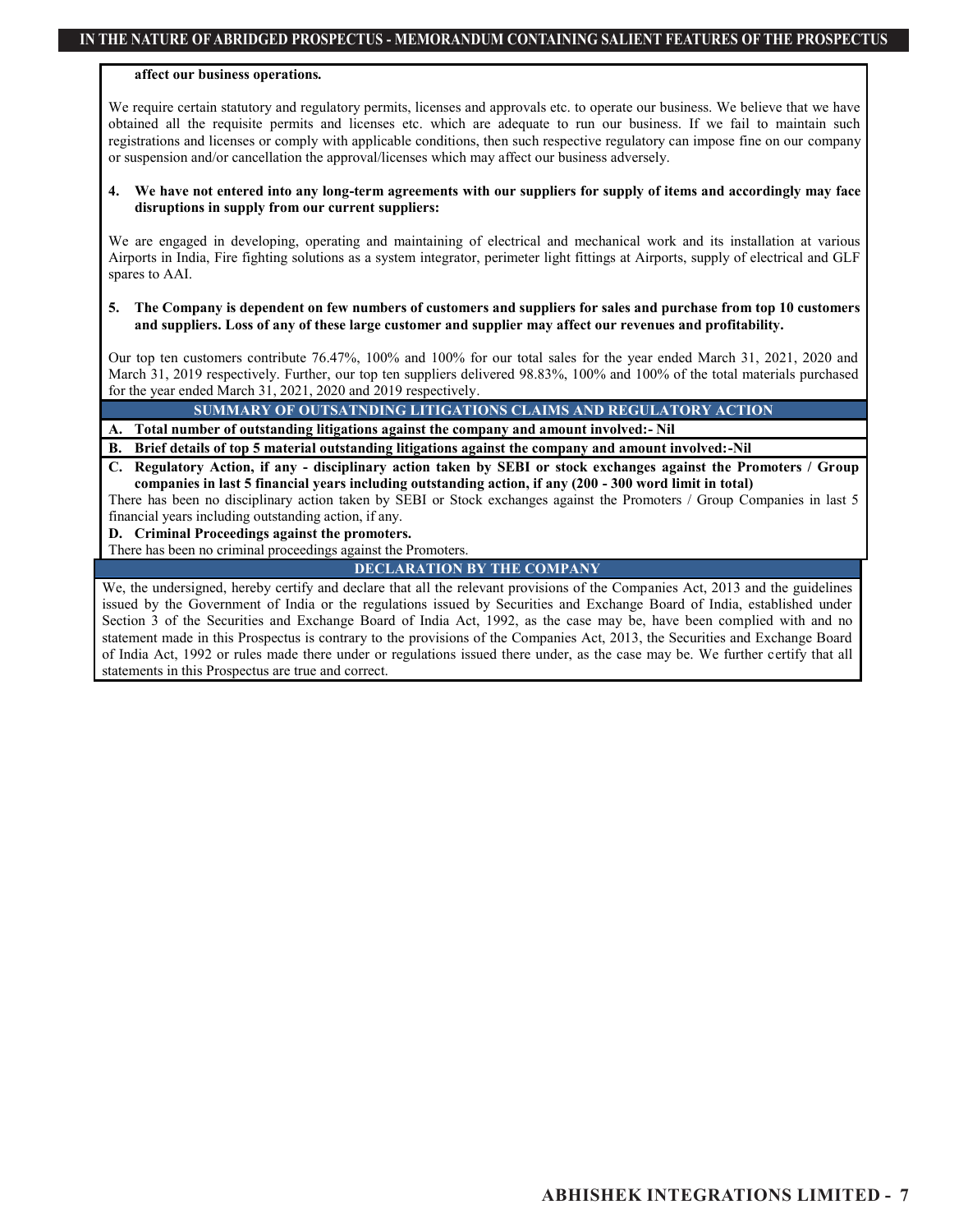#### **affect our business operations***.*

We require certain statutory and regulatory permits, licenses and approvals etc. to operate our business. We believe that we have obtained all the requisite permits and licenses etc. which are adequate to run our business. If we fail to maintain such registrations and licenses or comply with applicable conditions, then such respective regulatory can impose fine on our company or suspension and/or cancellation the approval/licenses which may affect our business adversely.

#### **4. We have not entered into any long-term agreements with our suppliers for supply of items and accordingly may face disruptions in supply from our current suppliers:**

We are engaged in developing, operating and maintaining of electrical and mechanical work and its installation at various Airports in India, Fire fighting solutions as a system integrator, perimeter light fittings at Airports, supply of electrical and GLF spares to AAI.

### **5. The Company is dependent on few numbers of customers and suppliers for sales and purchase from top 10 customers and suppliers. Loss of any of these large customer and supplier may affect our revenues and profitability.**

Our top ten customers contribute 76.47%, 100% and 100% for our total sales for the year ended March 31, 2021, 2020 and March 31, 2019 respectively. Further, our top ten suppliers delivered 98.83%, 100% and 100% of the total materials purchased for the year ended March 31, 2021, 2020 and 2019 respectively.

**SUMMARY OF OUTSATNDING LITIGATIONS CLAIMS AND REGULATORY ACTION**

**A. Total number of outstanding litigations against the company and amount involved:- Nil** 

**B. Brief details of top 5 material outstanding litigations against the company and amount involved:-Nil**

**C. Regulatory Action, if any - disciplinary action taken by SEBI or stock exchanges against the Promoters / Group companies in last 5 financial years including outstanding action, if any (200 - 300 word limit in total)**

There has been no disciplinary action taken by SEBI or Stock exchanges against the Promoters / Group Companies in last 5 financial years including outstanding action, if any.

**D. Criminal Proceedings against the promoters.**

There has been no criminal proceedings against the Promoters.

**DECLARATION BY THE COMPANY**

We, the undersigned, hereby certify and declare that all the relevant provisions of the Companies Act, 2013 and the guidelines issued by the Government of India or the regulations issued by Securities and Exchange Board of India, established under Section 3 of the Securities and Exchange Board of India Act, 1992, as the case may be, have been complied with and no statement made in this Prospectus is contrary to the provisions of the Companies Act, 2013, the Securities and Exchange Board of India Act, 1992 or rules made there under or regulations issued there under, as the case may be. We further certify that all statements in this Prospectus are true and correct.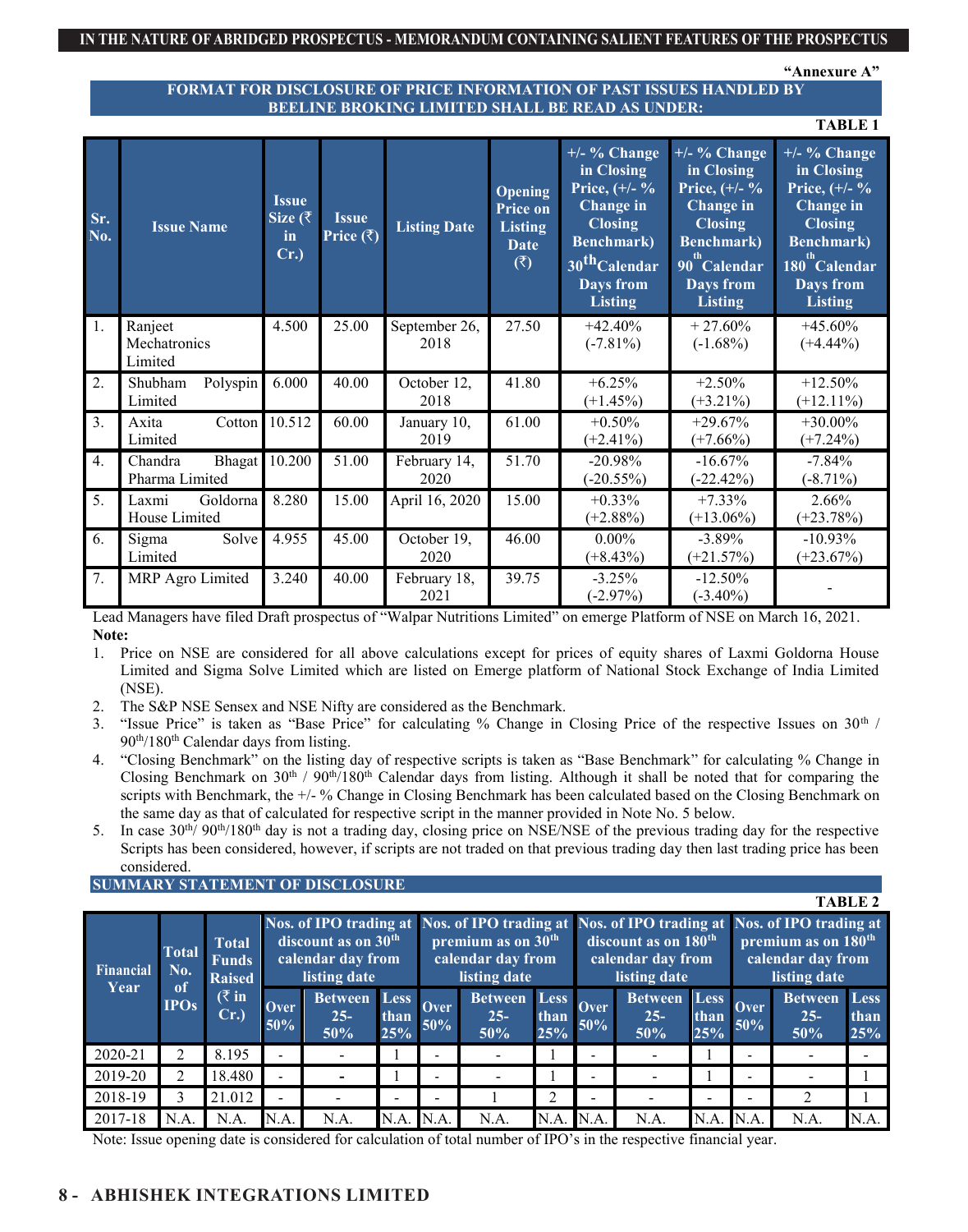### **"Annexure A"**

**TABLE** 

### **FORMAT FOR DISCLOSURE OF PRICE INFORMATION OF PAST ISSUES HANDLED BY BEELINE BROKING LIMITED SHALL BE READ AS UNDER:**

|            |                                    |                                                       |                           |                       |                                                                    |                                                                                                                                                                         |                                                                                                                                                    | TABLE I                                                                                                                                                           |
|------------|------------------------------------|-------------------------------------------------------|---------------------------|-----------------------|--------------------------------------------------------------------|-------------------------------------------------------------------------------------------------------------------------------------------------------------------------|----------------------------------------------------------------------------------------------------------------------------------------------------|-------------------------------------------------------------------------------------------------------------------------------------------------------------------|
| Sr.<br>No. | <b>Issue Name</b>                  | <b>Issue</b><br>Size ( $\overline{\tau}$<br>in<br>Cr. | <b>Issue</b><br>Price (₹) | <b>Listing Date</b>   | Opening<br><b>Price on</b><br><b>Listing</b><br><b>Date</b><br>(5) | $+/-$ % Change<br>in Closing<br>Price, $(+/-$ %<br>Change in<br><b>Closing</b><br><b>Benchmark</b> )<br>30 <sup>th</sup> Calendar<br><b>Days from</b><br><b>Listing</b> | $+/-$ % Change<br>in Closing<br>Price, $(+/-$ %<br>Change in<br><b>Closing</b><br><b>Benchmark</b> )<br>90 Calendar<br>Days from<br><b>Listing</b> | $+/-$ % Change<br>in Closing<br>Price, $(+/-$ %<br>Change in<br><b>Closing</b><br><b>Benchmark</b> )<br>180 <sup>th</sup> Calendar<br>Days from<br><b>Listing</b> |
| 1.         | Ranjeet<br>Mechatronics<br>Limited | 4.500                                                 | 25.00                     | September 26,<br>2018 | 27.50                                                              | $+42.40%$<br>$(-7.81\%)$                                                                                                                                                | $+27.60%$<br>$(-1.68\%)$                                                                                                                           | $+45.60%$<br>$(+4.44\%)$                                                                                                                                          |
| 2.         | Shubham<br>Polyspin<br>Limited     | 6.000                                                 | 40.00                     | October 12,<br>2018   | 41.80                                                              | $+6.25%$<br>$(+1.45%)$                                                                                                                                                  | $+2.50%$<br>$(+3.21\%)$                                                                                                                            | $+12.50%$<br>$(+12.11\%)$                                                                                                                                         |
| 3.         | Axita<br>Limited                   | Cotton 10.512                                         | 60.00                     | January 10,<br>2019   | 61.00                                                              | $+0.50%$<br>$(+2.41\%)$                                                                                                                                                 | $+29.67%$<br>$(+7.66\%)$                                                                                                                           | $+30.00\%$<br>$(+7.24\%)$                                                                                                                                         |
| 4.         | Chandra<br>Pharma Limited          | Bhagat 10.200                                         | 51.00                     | February 14,<br>2020  | 51.70                                                              | $-20.98%$<br>$(-20.55%)$                                                                                                                                                | $-16.67\%$<br>$(-22.42%)$                                                                                                                          | $-7.84%$<br>$(-8.71\%)$                                                                                                                                           |
| 5.         | Laxmi<br>Goldorna<br>House Limited | 8.280                                                 | 15.00                     | April 16, 2020        | 15.00                                                              | $+0.33\%$<br>$(+2.88\%)$                                                                                                                                                | $+7.33\%$<br>$(+13.06\%)$                                                                                                                          | 2.66%<br>$(+23.78%)$                                                                                                                                              |
| 6.         | Sigma<br>Solve<br>Limited          | 4.955                                                 | 45.00                     | October 19,<br>2020   | 46.00                                                              | $0.00\%$<br>$(+8.43\%)$                                                                                                                                                 | $-3.89%$<br>$(+21.57%)$                                                                                                                            | $-10.93%$<br>$(+23.67%)$                                                                                                                                          |
| 7.         | MRP Agro Limited                   | 3.240                                                 | 40.00                     | February 18,<br>2021  | 39.75                                                              | $-3.25%$<br>$(-2.97%)$                                                                                                                                                  | $-12.50%$<br>$(-3.40\%)$                                                                                                                           |                                                                                                                                                                   |

Lead Managers have filed Draft prospectus of "Walpar Nutritions Limited" on emerge Platform of NSE on March 16, 2021. **Note:**

- 1. Price on NSE are considered for all above calculations except for prices of equity shares of Laxmi Goldorna House Limited and Sigma Solve Limited which are listed on Emerge platform of National Stock Exchange of India Limited (NSE).
- 2. The S&P NSE Sensex and NSE Nifty are considered as the Benchmark.
- 3. "Issue Price" is taken as "Base Price" for calculating % Change in Closing Price of the respective Issues on  $30<sup>th</sup>$  / 90<sup>th</sup>/180<sup>th</sup> Calendar days from listing.
- 4. "Closing Benchmark" on the listing day of respective scripts is taken as "Base Benchmark" for calculating % Change in Closing Benchmark on  $30<sup>th</sup>$  /  $90<sup>th</sup>/180<sup>th</sup>$  Calendar days from listing. Although it shall be noted that for comparing the scripts with Benchmark, the  $+/-$  % Change in Closing Benchmark has been calculated based on the Closing Benchmark on the same day as that of calculated for respective script in the manner provided in Note No. 5 below.
- 5. In case 30<sup>th/90th</sup>/180<sup>th</sup> day is not a trading day, closing price on NSE/NSE of the previous trading day for the respective Scripts has been considered, however, if scripts are not traded on that previous trading day then last trading price has been considered.

# **SUMMARY STATEMENT OF DISCLOSURE**

|                          |                                   |                                                                          |                                                                   |                                 |                                                                                                                                                                    |                          |                                 |                                                                       |                    |                                |                                                                      |                       |                                 | <b>TABLE 2</b>      |
|--------------------------|-----------------------------------|--------------------------------------------------------------------------|-------------------------------------------------------------------|---------------------------------|--------------------------------------------------------------------------------------------------------------------------------------------------------------------|--------------------------|---------------------------------|-----------------------------------------------------------------------|--------------------|--------------------------------|----------------------------------------------------------------------|-----------------------|---------------------------------|---------------------|
| <b>Financial</b><br>Year | <b>Total</b><br>No.<br>of<br>IPOs | <b>Total</b><br><b>Funds</b><br><b>Raised</b><br>$\mathcal{R}$ in<br>Cr. | discount as on $30^{\rm th}$<br>calendar day from<br>listing date |                                 | Nos. of IPO trading at Nos. of IPO trading at Nos. of IPO trading at Nos. of IPO trading at<br>premium as on $30^{\text{th}}$<br>calendar day from<br>listing date |                          |                                 | discount as on 180 <sup>th</sup><br>calendar day from<br>listing date |                    |                                | premium as on 180 <sup>th</sup><br>calendar day from<br>listing date |                       |                                 |                     |
|                          |                                   |                                                                          | <b>Over</b><br>$50\%$                                             | <b>Between</b><br>$25 -$<br>50% | Less <sup>1</sup><br>than<br>25%                                                                                                                                   | <b>Over</b><br>50%       | <b>Between</b><br>$25 -$<br>50% | Less  <br>than<br>25%                                                 | <b>Over</b><br>50% | <b>Between</b><br>$25-$<br>50% | <b>Less</b><br>than<br>25%                                           | <b>Over</b><br>$50\%$ | <b>Between</b><br>$25 -$<br>50% | Less<br>than<br>25% |
| 2020-21                  |                                   | 8.195                                                                    |                                                                   |                                 |                                                                                                                                                                    | $\overline{\phantom{a}}$ | $\overline{\phantom{0}}$        |                                                                       |                    |                                |                                                                      | -                     |                                 |                     |
| 2019-20                  |                                   | 18.480                                                                   |                                                                   |                                 |                                                                                                                                                                    |                          |                                 |                                                                       |                    |                                |                                                                      |                       |                                 |                     |
| 2018-19                  |                                   | 21.012                                                                   |                                                                   |                                 | -                                                                                                                                                                  |                          |                                 |                                                                       |                    |                                | -                                                                    |                       |                                 |                     |
| 2017-18                  | N.A                               | N.A.                                                                     | N.A.                                                              | N.A.                            | N.A.                                                                                                                                                               | N.A                      | N.A.                            | N.A. N.A.                                                             |                    | N.A.                           | N.A.                                                                 | N.A                   | N.A.                            | N.A.                |

Note: Issue opening date is considered for calculation of total number of IPO's in the respective financial year.

# **8 - ABHISHEK INTEGRATIONS LIMITED**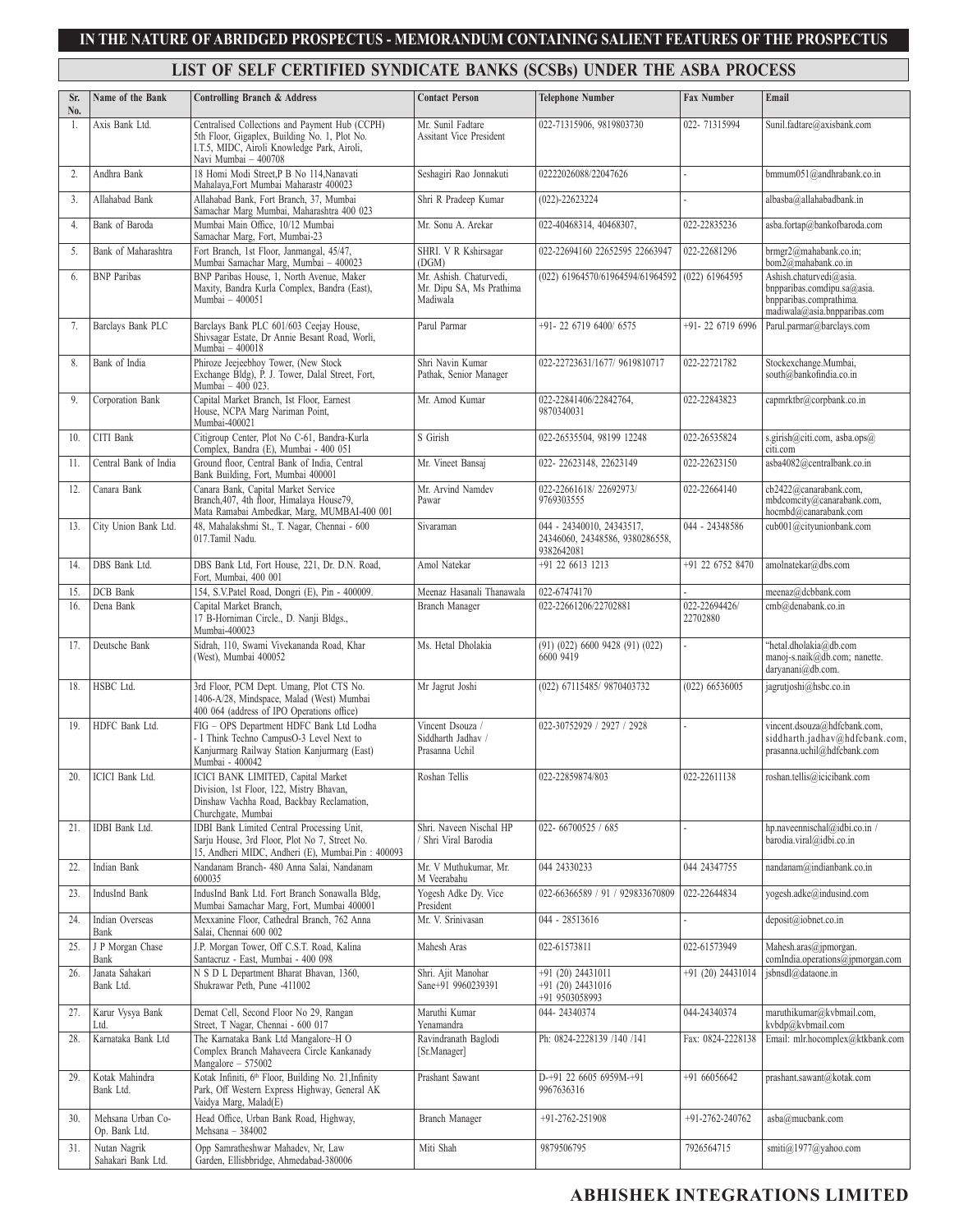# **LIST OF SELF CERTIFIED SYNDICATE BANKS (SCSBs) UNDER THE ASBA PROCESS**

| Sr.<br>No. | Name of the Bank                   | <b>Controlling Branch &amp; Address</b>                                                                                                                                | <b>Contact Person</b>                                           | <b>Telephone Number</b>                                                    | <b>Fax Number</b>         | Email                                                                                                             |
|------------|------------------------------------|------------------------------------------------------------------------------------------------------------------------------------------------------------------------|-----------------------------------------------------------------|----------------------------------------------------------------------------|---------------------------|-------------------------------------------------------------------------------------------------------------------|
| 1.         | Axis Bank Ltd.                     | Centralised Collections and Payment Hub (CCPH)<br>5th Floor, Gigaplex, Building No. 1, Plot No.<br>I.T.5, MIDC, Airoli Knowledge Park, Airoli,<br>Navi Mumbai - 400708 | Mr. Sunil Fadtare<br><b>Assitant Vice President</b>             | 022-71315906, 9819803730                                                   | 022-71315994              | Sunil.fadtare@axisbank.com                                                                                        |
| 2.         | Andhra Bank                        | 18 Homi Modi Street.P B No 114. Nanavati<br>Mahalaya, Fort Mumbai Maharastr 400023                                                                                     | Seshagiri Rao Jonnakuti                                         | 02222026088/22047626                                                       |                           | bmmum051@andhrabank.co.in                                                                                         |
| 3.         | Allahabad Bank                     | Allahabad Bank, Fort Branch, 37, Mumbai<br>Samachar Marg Mumbai, Maharashtra 400 023                                                                                   | Shri R Pradeep Kumar                                            | $(022) - 22623224$                                                         |                           | albasba@allahabadbank.in                                                                                          |
| 4.         | Bank of Baroda                     | Mumbai Main Office, 10/12 Mumbai<br>Samachar Marg, Fort, Mumbai-23                                                                                                     | Mr. Sonu A. Arekar                                              | 022-40468314, 40468307,                                                    | 022-22835236              | asba.fortap@bankofbaroda.com                                                                                      |
| 5.         | Bank of Maharashtra                | Fort Branch, 1st Floor, Janmangal, 45/47,<br>Mumbai Samachar Marg, Mumbai - 400023                                                                                     | SHRI. V R Kshirsagar<br>(DGM)                                   | 022-22694160 22652595 22663947                                             | 022-22681296              | brmgr2@mahabank.co.in;<br>bom2@mahabank.co.in                                                                     |
| 6.         | <b>BNP</b> Paribas                 | BNP Paribas House, 1, North Avenue, Maker<br>Maxity, Bandra Kurla Complex, Bandra (East),<br>Mumbai - 400051                                                           | Mr. Ashish. Chaturvedi,<br>Mr. Dipu SA, Ms Prathima<br>Madiwala | (022) 61964570/61964594/61964592                                           | (022) 61964595            | Ashish.chaturvedi@asia.<br>bnpparibas.comdipu.sa@asia.<br>bnpparibas.comprathima.<br>madiwala@asia.bnpparibas.com |
| 7.         | Barclays Bank PLC                  | Barclays Bank PLC 601/603 Ceejay House,<br>Shivsagar Estate, Dr Annie Besant Road, Worli,<br>Mumbai - 400018                                                           | Parul Parmar                                                    | $+91 - 2267196400/6575$                                                    | +91-22 6719 6996          | Parul.parmar@barclays.com                                                                                         |
| 8.         | Bank of India                      | Phiroze Jeejeebhoy Tower, (New Stock<br>Exchange Bldg), P. J. Tower, Dalal Street, Fort,<br>Mumbai - 400 023.                                                          | Shri Navin Kumar<br>Pathak, Senior Manager                      | 022-22723631/1677/ 9619810717                                              | 022-22721782              | Stockexchange.Mumbai,<br>south@bankofindia.co.in                                                                  |
| 9.         | Corporation Bank                   | Capital Market Branch, Ist Floor, Earnest<br>House, NCPA Marg Nariman Point,<br>Mumbai-400021                                                                          | Mr. Amod Kumar                                                  | 022-22841406/22842764,<br>9870340031                                       | 022-22843823              | capmrktbr@corpbank.co.in                                                                                          |
| 10.        | CITI Bank                          | Citigroup Center, Plot No C-61, Bandra-Kurla<br>Complex, Bandra (E), Mumbai - 400 051                                                                                  | S Girish                                                        | 022-26535504, 98199 12248                                                  | 022-26535824              | s.girish@citi.com, asba.ops@<br>citi.com                                                                          |
| 11.        | Central Bank of India              | Ground floor, Central Bank of India, Central<br>Bank Building, Fort, Mumbai 400001                                                                                     | Mr. Vineet Bansaj                                               | 022-22623148, 22623149                                                     | 022-22623150              | asba4082@centralbank.co.in                                                                                        |
| 12.        | Canara Bank                        | Canara Bank, Capital Market Service<br>Branch, 407, 4th floor, Himalaya House79,<br>Mata Ramabai Ambedkar, Marg, MUMBAI-400 001                                        | Mr. Arvind Namdev<br>Pawar                                      | 022-22661618/22692973/<br>9769303555                                       | 022-22664140              | cb2422@canarabank.com.<br>mbdcomcity@canarabank.com,<br>hocmbd@canarabank.com                                     |
| 13.        | City Union Bank Ltd.               | 48, Mahalakshmi St., T. Nagar, Chennai - 600<br>017.Tamil Nadu.                                                                                                        | Sivaraman                                                       | 044 - 24340010, 24343517,<br>24346060, 24348586, 9380286558,<br>9382642081 | 044 - 24348586            | cub001@cityunionbank.com                                                                                          |
| 14.        | DBS Bank Ltd.                      | DBS Bank Ltd, Fort House, 221, Dr. D.N. Road,<br>Fort, Mumbai, 400 001                                                                                                 | Amol Natekar                                                    | +91 22 6613 1213                                                           | +91 22 6752 8470          | amolnatekar@dbs.com                                                                                               |
| 15.        | DCB Bank                           | 154, S.V.Patel Road, Dongri (E), Pin - 400009.                                                                                                                         | Meenaz Hasanali Thanawala                                       | 022-67474170                                                               |                           | meenaz@dcbbank.com                                                                                                |
| 16.        | Dena Bank                          | Capital Market Branch,<br>17 B-Horniman Circle., D. Nanji Bldgs.,<br>Mumbai-400023                                                                                     | Branch Manager                                                  | 022-22661206/22702881                                                      | 022-22694426/<br>22702880 | cmb@denabank.co.in                                                                                                |
| 17.        | Deutsche Bank                      | Sidrah, 110, Swami Vivekananda Road, Khar<br>(West), Mumbai 400052                                                                                                     | Ms. Hetal Dholakia                                              | $(91)$ $(022)$ 6600 9428 $(91)$ $(022)$<br>6600 9419                       |                           | "hetal.dholakia@db.com<br>manoj-s.naik@db.com; nanette.<br>daryanani@db.com.                                      |
| 18.        | HSBC Ltd.                          | 3rd Floor, PCM Dept. Umang, Plot CTS No.<br>1406-A/28, Mindspace, Malad (West) Mumbai<br>400 064 (address of IPO Operations office)                                    | Mr Jagrut Joshi                                                 | (022) 67115485/ 9870403732                                                 | $(022)$ 66536005          | jagrutjoshi@hsbc.co.in                                                                                            |
| 19.        | HDFC Bank Ltd.                     | FIG - OPS Department HDFC Bank Ltd Lodha<br>- I Think Techno CampusO-3 Level Next to<br>Kanjurmarg Railway Station Kanjurmarg (East)<br>Mumbai - 400042                | Vincent Dsouza /<br>Siddharth Jadhav /<br>Prasanna Uchil        | 022-30752929 / 2927 / 2928                                                 |                           | vincent.dsouza@hdfcbank.com.<br>siddharth.jadhav@hdfcbank.com,<br>prasanna.uchil@hdfcbank.com                     |
| 20.        | ICICI Bank Ltd.                    | ICICI BANK LIMITED, Capital Market<br>Division, 1st Floor, 122, Mistry Bhavan,<br>Dinshaw Vachha Road, Backbay Reclamation,<br>Churchgate, Mumbai                      | Roshan Tellis                                                   | 022-22859874/803                                                           | 022-22611138              | roshan.tellis@icicibank.com                                                                                       |
| 21.        | IDBI Bank Ltd.                     | IDBI Bank Limited Central Processing Unit,<br>Sarju House, 3rd Floor, Plot No 7, Street No.<br>15, Andheri MIDC, Andheri (E), Mumbai.Pin: 400093                       | Shri. Naveen Nischal HP<br>Shri Viral Barodia                   | 022- 66700525 / 685                                                        |                           | hp.naveennischal@idbi.co.in /<br>barodia.viral@idbi.co.in                                                         |
| 22.        | Indian Bank                        | Nandanam Branch- 480 Anna Salai, Nandanam<br>600035                                                                                                                    | Mr. V Muthukumar, Mr.<br>M Veerabahu                            | 044 24330233                                                               | 044 24347755              | nandanam@indianbank.co.in                                                                                         |
| 23.        | IndusInd Bank                      | IndusInd Bank Ltd. Fort Branch Sonawalla Bldg,<br>Mumbai Samachar Marg, Fort, Mumbai 400001                                                                            | Yogesh Adke Dy. Vice<br>President                               | 022-66366589 / 91 / 929833670809                                           | 022-22644834              | yogesh.adke@indusind.com                                                                                          |
| 24.        | Indian Overseas<br>Bank            | Mexxanine Floor, Cathedral Branch, 762 Anna<br>Salai, Chennai 600 002                                                                                                  | Mr. V. Srinivasan                                               | 044 - 28513616                                                             |                           | deposit@iobnet.co.in                                                                                              |
| 25.        | J P Morgan Chase<br>Bank           | J.P. Morgan Tower, Off C.S.T. Road, Kalina<br>Santacruz - East, Mumbai - 400 098                                                                                       | Mahesh Aras                                                     | 022-61573811                                                               | 022-61573949              | Mahesh.aras@jpmorgan.<br>comIndia.operations@jpmorgan.com                                                         |
| 26.        | Janata Sahakari<br>Bank Ltd.       | N S D L Department Bharat Bhavan, 1360,<br>Shukrawar Peth, Pune -411002                                                                                                | Shri. Ajit Manohar<br>Sane+91 9960239391                        | +91 (20) 24431011<br>$+91(20)$ 24431016<br>+91 9503058993                  | +91 (20) 24431014         | jsbnsdl@dataone.in                                                                                                |
| 27.        | Karur Vysya Bank<br>Ltd.           | Demat Cell, Second Floor No 29, Rangan<br>Street, T Nagar, Chennai - 600 017                                                                                           | Maruthi Kumar<br>Yenamandra                                     | 044-24340374                                                               | 044-24340374              | maruthikumar@kvbmail.com,<br>kvbdp@kvbmail.com                                                                    |
| 28.        | Karnataka Bank Ltd                 | The Karnataka Bank Ltd Mangalore-H O<br>Complex Branch Mahaveera Circle Kankanady<br>Mangalore - 575002                                                                | Ravindranath Baglodi<br>[Sr.Manager]                            | Ph: 0824-2228139 /140 /141                                                 | Fax: 0824-2228138         | Email: mlr.hocomplex@ktkbank.com                                                                                  |
| 29.        | Kotak Mahindra<br>Bank Ltd.        | Kotak Infiniti, 6 <sup>th</sup> Floor, Building No. 21, Infinity<br>Park, Off Western Express Highway, General AK<br>Vaidya Marg, Malad(E)                             | Prashant Sawant                                                 | D-+91 22 6605 6959M-+91<br>9967636316                                      | +91 66056642              | prashant.sawant@kotak.com                                                                                         |
| 30.        | Mehsana Urban Co-<br>Op. Bank Ltd. | Head Office, Urban Bank Road, Highway,<br>Mehsana - 384002                                                                                                             | Branch Manager                                                  | +91-2762-251908                                                            | +91-2762-240762           | asba@mucbank.com                                                                                                  |
| 31.        | Nutan Nagrik<br>Sahakari Bank Ltd. | Opp Samratheshwar Mahadev, Nr, Law<br>Garden, Ellisbbridge, Ahmedabad-380006                                                                                           | Miti Shah                                                       | 9879506795                                                                 | 7926564715                | smiti@1977@yahoo.com                                                                                              |

### **ABHISHEK INTEGRATIONS LIMITED**